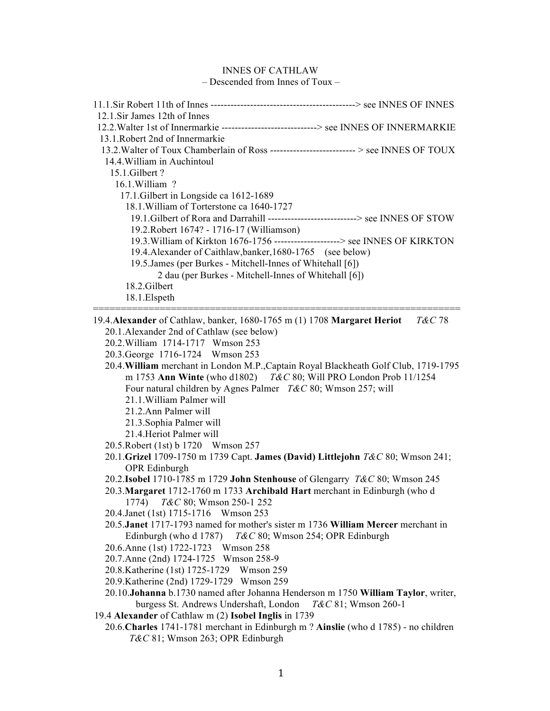## INNES OF CATHLAW

– Descended from Innes of Toux –

| 12.1.Sir James 12th of Innes                                                                                                                                                                                                                                                                                                                                                                                                        |
|-------------------------------------------------------------------------------------------------------------------------------------------------------------------------------------------------------------------------------------------------------------------------------------------------------------------------------------------------------------------------------------------------------------------------------------|
| 12.2. Walter 1st of Innermarkie ---------------------------> see INNES OF INNERMARKIE                                                                                                                                                                                                                                                                                                                                               |
| 13.1. Robert 2nd of Innermarkie                                                                                                                                                                                                                                                                                                                                                                                                     |
| 13.2. Walter of Toux Chamberlain of Ross ---------------------------> see INNES OF TOUX                                                                                                                                                                                                                                                                                                                                             |
| 14.4. William in Auchintoul                                                                                                                                                                                                                                                                                                                                                                                                         |
| 15.1.Gilbert?                                                                                                                                                                                                                                                                                                                                                                                                                       |
| 16.1. William ?                                                                                                                                                                                                                                                                                                                                                                                                                     |
| 17.1. Gilbert in Longside ca 1612-1689                                                                                                                                                                                                                                                                                                                                                                                              |
| 18.1. William of Torterstone ca 1640-1727                                                                                                                                                                                                                                                                                                                                                                                           |
| 19.1. Gilbert of Rora and Darrahill --------------------------> see INNES OF STOW                                                                                                                                                                                                                                                                                                                                                   |
| 19.2. Robert 1674? - 1716-17 (Williamson)                                                                                                                                                                                                                                                                                                                                                                                           |
| 19.3. William of Kirkton 1676-1756 --------------------> see INNES OF KIRKTON                                                                                                                                                                                                                                                                                                                                                       |
| 19.4. Alexander of Caithlaw, banker, 1680-1765 (see below)                                                                                                                                                                                                                                                                                                                                                                          |
| 19.5. James (per Burkes - Mitchell-Innes of Whitehall [6])                                                                                                                                                                                                                                                                                                                                                                          |
| 2 dau (per Burkes - Mitchell-Innes of Whitehall [6])                                                                                                                                                                                                                                                                                                                                                                                |
| 18.2. Gilbert                                                                                                                                                                                                                                                                                                                                                                                                                       |
| 18.1. Elspeth                                                                                                                                                                                                                                                                                                                                                                                                                       |
| 20.1. Alexander 2nd of Cathlaw (see below)<br>20.2. William 1714-1717 Wmson 253<br>20.3. George 1716-1724 Wmson 253<br>20.4. William merchant in London M.P., Captain Royal Blackheath Golf Club, 1719-1795<br>m 1753 Ann Winte (who d1802) T&C 80; Will PRO London Prob 11/1254<br>Four natural children by Agnes Palmer T&C 80; Wmson 257; will<br>21.1. William Palmer will<br>21.2. Ann Palmer will<br>21.3. Sophia Palmer will |
| 21.4. Heriot Palmer will                                                                                                                                                                                                                                                                                                                                                                                                            |
| 20.5. Robert (1st) b 1720 Wmson 257                                                                                                                                                                                                                                                                                                                                                                                                 |
| 20.1.Grizel 1709-1750 m 1739 Capt. James (David) Littlejohn T&C 80; Wmson 241;                                                                                                                                                                                                                                                                                                                                                      |
| OPR Edinburgh                                                                                                                                                                                                                                                                                                                                                                                                                       |
| 20.2. Isobel 1710-1785 m 1729 John Stenhouse of Glengarry T&C 80; Wmson 245                                                                                                                                                                                                                                                                                                                                                         |
| 20.3. Margaret 1712-1760 m 1733 Archibald Hart merchant in Edinburgh (who d                                                                                                                                                                                                                                                                                                                                                         |
| 1774) T&C 80; Wmson 250-1 252                                                                                                                                                                                                                                                                                                                                                                                                       |
| 20.4. Janet (1st) 1715-1716 Wmson 253                                                                                                                                                                                                                                                                                                                                                                                               |
| 20.5. Janet 1717-1793 named for mother's sister m 1736 William Mercer merchant in                                                                                                                                                                                                                                                                                                                                                   |
| Edinburgh (who d 1787) T&C 80; Wmson 254; OPR Edinburgh                                                                                                                                                                                                                                                                                                                                                                             |
| 20.6. Anne (1st) 1722-1723 Wmson 258                                                                                                                                                                                                                                                                                                                                                                                                |
| 20.7. Anne (2nd) 1724-1725 Wmson 258-9                                                                                                                                                                                                                                                                                                                                                                                              |
| 20.8. Katherine (1st) 1725-1729 Wmson 259                                                                                                                                                                                                                                                                                                                                                                                           |
| 20.9. Katherine (2nd) 1729-1729 Wmson 259                                                                                                                                                                                                                                                                                                                                                                                           |
|                                                                                                                                                                                                                                                                                                                                                                                                                                     |
| 20.10. Johanna b.1730 named after Johanna Henderson m 1750 William Taylor, writer,                                                                                                                                                                                                                                                                                                                                                  |

- 19.4 **Alexander** of Cathlaw m (2) **Isobel Inglis** in 1739
	- 20.6.**Charles** 1741-1781 merchant in Edinburgh m ? **Ainslie** (who d 1785) no children *T&C* 81; Wmson 263; OPR Edinburgh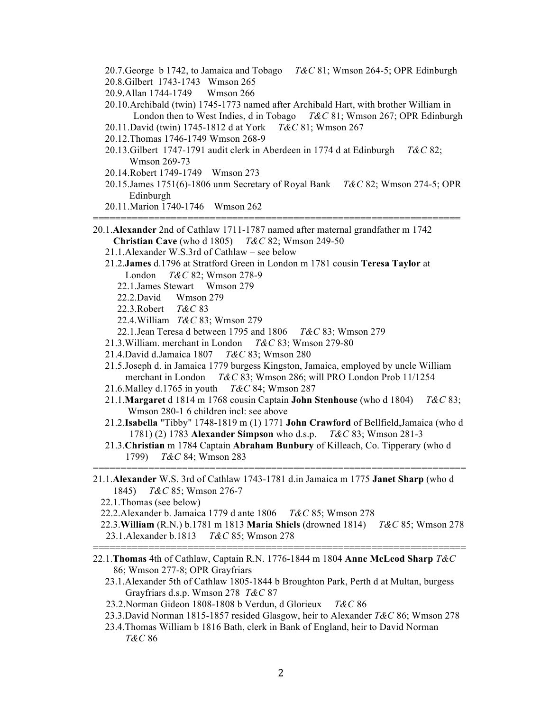- 20.7.George b 1742, to Jamaica and Tobago *T&C* 81; Wmson 264-5; OPR Edinburgh
- 20.8.Gilbert 1743-1743 Wmson 265

20.9.Allan 1744-1749 Wmson 266

- 20.10.Archibald (twin) 1745-1773 named after Archibald Hart, with brother William in London then to West Indies, d in Tobago *T&C* 81; Wmson 267; OPR Edinburgh
- 20.11.David (twin) 1745-1812 d at York *T&C* 81; Wmson 267
- 20.12.Thomas 1746-1749 Wmson 268-9
- 20.13.Gilbert 1747-1791 audit clerk in Aberdeen in 1774 d at Edinburgh *T&C* 82; Wmson 269-73
- 20.14.Robert 1749-1749 Wmson 273
- 20.15.James 1751(6)-1806 unm Secretary of Royal Bank *T&C* 82; Wmson 274-5; OPR Edinburgh

==================================================================

- 20.11.Marion 1740-1746 Wmson 262
- 20.1.**Alexander** 2nd of Cathlaw 1711-1787 named after maternal grandfather m 1742 **Christian Cave** (who d 1805) *T&C* 82; Wmson 249-50
	- 21.1.Alexander W.S.3rd of Cathlaw see below
	- 21.2.**James** d.1796 at Stratford Green in London m 1781 cousin **Teresa Taylor** at London *T&C* 82; Wmson 278-9
		- 22.1.James Stewart Wmson 279
		- 22.2.David Wmson 279
		- 22.3.Robert *T&C* 83
		- 22.4.William *T&C* 83; Wmson 279
		- 22.1.Jean Teresa d between 1795 and 1806 *T&C* 83; Wmson 279
	- 21.3.William. merchant in London *T&C* 83; Wmson 279-80
	- 21.4.David d.Jamaica 1807 *T&C* 83; Wmson 280
	- 21.5.Joseph d. in Jamaica 1779 burgess Kingston, Jamaica, employed by uncle William merchant in London *T&C* 83; Wmson 286; will PRO London Prob 11/1254
	- 21.6.Malley d.1765 in youth *T&C* 84; Wmson 287
	- 21.1.**Margaret** d 1814 m 1768 cousin Captain **John Stenhouse** (who d 1804) *T&C* 83; Wmson 280-1 6 children incl: see above
	- 21.2.**Isabella** "Tibby" 1748-1819 m (1) 1771 **John Crawford** of Bellfield,Jamaica (who d 1781) (2) 1783 **Alexander Simpson** who d.s.p. *T&C* 83; Wmson 281-3
- 21.3.**Christian** m 1784 Captain **Abraham Bunbury** of Killeach, Co. Tipperary (who d 1799) *T&C* 84; Wmson 283 ===================================================================
- 21.1.**Alexander** W.S. 3rd of Cathlaw 1743-1781 d.in Jamaica m 1775 **Janet Sharp** (who d 1845) *T&C* 85; Wmson 276-7
	- 22.1.Thomas (see below)
	- 22.2.Alexander b. Jamaica 1779 d ante 1806 *T&C* 85; Wmson 278
- 22.3.**William** (R.N.) b.1781 m 1813 **Maria Shiels** (drowned 1814) *T&C* 85; Wmson 278 23.1.Alexander b.1813 *T&C* 85; Wmson 278 ===================================================================
- 22.1.**Thomas** 4th of Cathlaw, Captain R.N. 1776-1844 m 1804 **Anne McLeod Sharp** *T&C* 86; Wmson 277-8; OPR Grayfriars
	- 23.1.Alexander 5th of Cathlaw 1805-1844 b Broughton Park, Perth d at Multan, burgess Grayfriars d.s.p. Wmson 278 *T&C* 87
	- 23.2.Norman Gideon 1808-1808 b Verdun, d Glorieux *T&C* 86
	- 23.3.David Norman 1815-1857 resided Glasgow, heir to Alexander *T&C* 86; Wmson 278
	- 23.4.Thomas William b 1816 Bath, clerk in Bank of England, heir to David Norman *T&C* 86